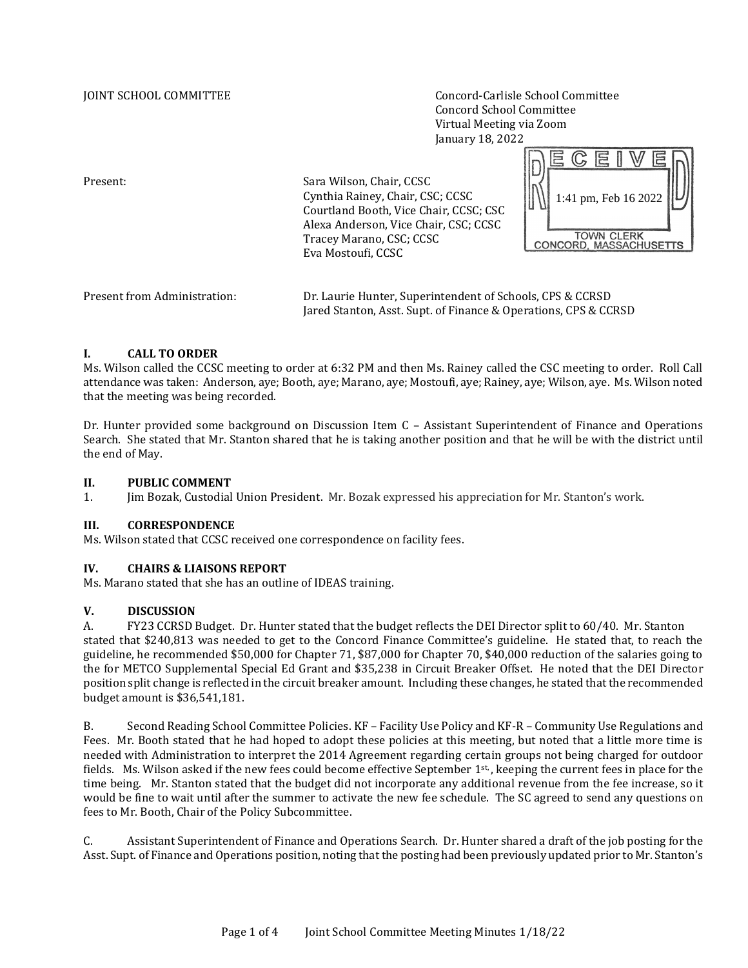JOINT SCHOOL COMMITTEE Concord-Carlisle School Committee Concord School Committee Virtual Meeting via Zoom January 18, 2022

Present: Sara Wilson, Chair, CCSC Cynthia Rainey, Chair, CSC; CCSC Courtland Booth, Vice Chair, CCSC; CSC Alexa Anderson, Vice Chair, CSC; CCSC Tracey Marano, CSC; CCSC Eva Mostoufi, CCSC



| Present from Administration: | Dr. Laurie Hunter, Superintendent of Schools, CPS & CCRSD       |
|------------------------------|-----------------------------------------------------------------|
|                              | Jared Stanton, Asst. Supt. of Finance & Operations, CPS & CCRSD |

### **I. CALL TO ORDER**

Ms. Wilson called the CCSC meeting to order at 6:32 PM and then Ms. Rainey called the CSC meeting to order. Roll Call attendance was taken: Anderson, aye; Booth, aye; Marano, aye; Mostoufi, aye; Rainey, aye; Wilson, aye. Ms. Wilson noted that the meeting was being recorded.

Dr. Hunter provided some background on Discussion Item C – Assistant Superintendent of Finance and Operations Search. She stated that Mr. Stanton shared that he is taking another position and that he will be with the district until the end of May.

## **II. PUBLIC COMMENT**

1. Jim Bozak, Custodial Union President. Mr. Bozak expressed his appreciation for Mr. Stanton's work.

### **III. CORRESPONDENCE**

Ms. Wilson stated that CCSC received one correspondence on facility fees.

# **IV. CHAIRS & LIAISONS REPORT**

Ms. Marano stated that she has an outline of IDEAS training.

# **V. DISCUSSION**

A. FY23 CCRSD Budget. Dr. Hunter stated that the budget reflects the DEI Director split to 60/40. Mr. Stanton stated that \$240,813 was needed to get to the Concord Finance Committee's guideline. He stated that, to reach the guideline, he recommended \$50,000 for Chapter 71, \$87,000 for Chapter 70, \$40,000 reduction of the salaries going to the for METCO Supplemental Special Ed Grant and \$35,238 in Circuit Breaker Offset. He noted that the DEI Director position split change is reflected in the circuit breaker amount. Including these changes, he stated that the recommended budget amount is \$36,541,181.

B. Second Reading School Committee Policies. KF – Facility Use Policy and KF-R – Community Use Regulations and Fees. Mr. Booth stated that he had hoped to adopt these policies at this meeting, but noted that a little more time is needed with Administration to interpret the 2014 Agreement regarding certain groups not being charged for outdoor fields. Ms. Wilson asked if the new fees could become effective September 1st, keeping the current fees in place for the time being. Mr. Stanton stated that the budget did not incorporate any additional revenue from the fee increase, so it would be fine to wait until after the summer to activate the new fee schedule. The SC agreed to send any questions on fees to Mr. Booth, Chair of the Policy Subcommittee.

C. Assistant Superintendent of Finance and Operations Search. Dr. Hunter shared a draft of the job posting for the Asst. Supt. of Finance and Operations position, noting that the posting had been previously updated prior to Mr. Stanton's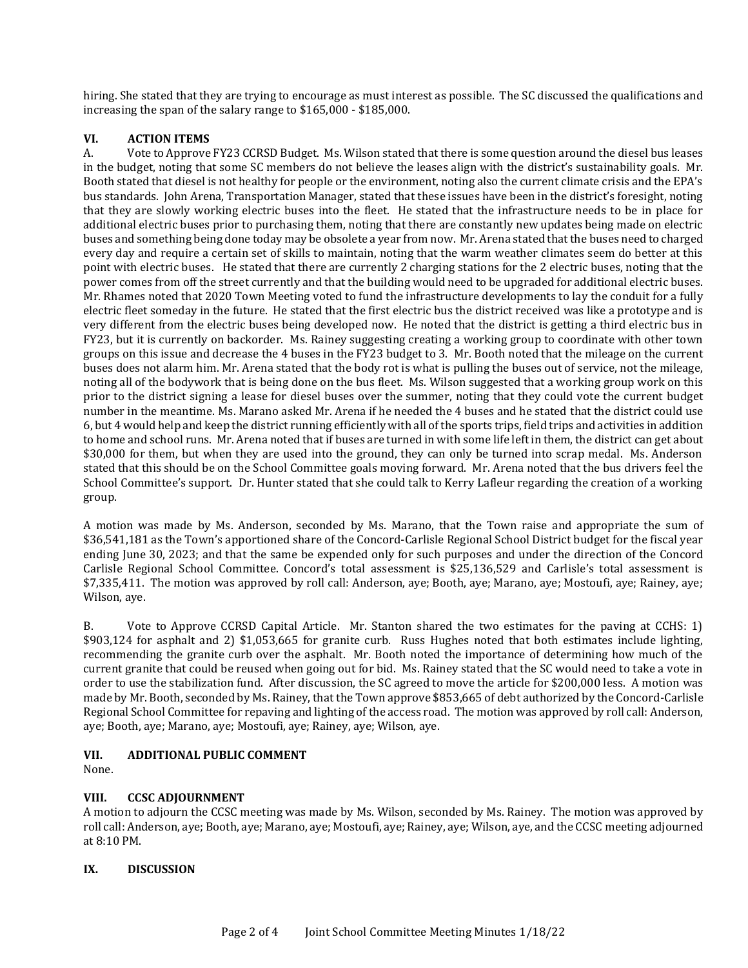hiring. She stated that they are trying to encourage as must interest as possible. The SC discussed the qualifications and increasing the span of the salary range to \$165,000 - \$185,000.

# **VI. ACTION ITEMS**

A. Vote to Approve FY23 CCRSD Budget. Ms. Wilson stated that there is some question around the diesel bus leases in the budget, noting that some SC members do not believe the leases align with the district's sustainability goals. Mr. Booth stated that diesel is not healthy for people or the environment, noting also the current climate crisis and the EPA's bus standards. John Arena, Transportation Manager, stated that these issues have been in the district's foresight, noting that they are slowly working electric buses into the fleet. He stated that the infrastructure needs to be in place for additional electric buses prior to purchasing them, noting that there are constantly new updates being made on electric buses and something being done today may be obsolete a year from now. Mr. Arena stated that the buses need to charged every day and require a certain set of skills to maintain, noting that the warm weather climates seem do better at this point with electric buses. He stated that there are currently 2 charging stations for the 2 electric buses, noting that the power comes from off the street currently and that the building would need to be upgraded for additional electric buses. Mr. Rhames noted that 2020 Town Meeting voted to fund the infrastructure developments to lay the conduit for a fully electric fleet someday in the future. He stated that the first electric bus the district received was like a prototype and is very different from the electric buses being developed now. He noted that the district is getting a third electric bus in FY23, but it is currently on backorder. Ms. Rainey suggesting creating a working group to coordinate with other town groups on this issue and decrease the 4 buses in the FY23 budget to 3. Mr. Booth noted that the mileage on the current buses does not alarm him. Mr. Arena stated that the body rot is what is pulling the buses out of service, not the mileage, noting all of the bodywork that is being done on the bus fleet. Ms. Wilson suggested that a working group work on this prior to the district signing a lease for diesel buses over the summer, noting that they could vote the current budget number in the meantime. Ms. Marano asked Mr. Arena if he needed the 4 buses and he stated that the district could use 6, but 4 would help and keep the district running efficiently with all of the sports trips, field trips and activities in addition to home and school runs. Mr. Arena noted that if buses are turned in with some life left in them, the district can get about \$30,000 for them, but when they are used into the ground, they can only be turned into scrap medal. Ms. Anderson stated that this should be on the School Committee goals moving forward. Mr. Arena noted that the bus drivers feel the School Committee's support. Dr. Hunter stated that she could talk to Kerry Lafleur regarding the creation of a working group.

A motion was made by Ms. Anderson, seconded by Ms. Marano, that the Town raise and appropriate the sum of \$36,541,181 as the Town's apportioned share of the Concord-Carlisle Regional School District budget for the fiscal year ending June 30, 2023; and that the same be expended only for such purposes and under the direction of the Concord Carlisle Regional School Committee. Concord's total assessment is \$25,136,529 and Carlisle's total assessment is \$7,335,411. The motion was approved by roll call: Anderson, aye; Booth, aye; Marano, aye; Mostoufi, aye; Rainey, aye; Wilson, aye.

B. Vote to Approve CCRSD Capital Article. Mr. Stanton shared the two estimates for the paving at CCHS: 1) \$903,124 for asphalt and 2) \$1,053,665 for granite curb. Russ Hughes noted that both estimates include lighting, recommending the granite curb over the asphalt. Mr. Booth noted the importance of determining how much of the current granite that could be reused when going out for bid. Ms. Rainey stated that the SC would need to take a vote in order to use the stabilization fund. After discussion, the SC agreed to move the article for \$200,000 less. A motion was made by Mr. Booth, seconded by Ms. Rainey, that the Town approve \$853,665 of debt authorized by the Concord-Carlisle Regional School Committee for repaving and lighting of the access road. The motion was approved by roll call: Anderson, aye; Booth, aye; Marano, aye; Mostoufi, aye; Rainey, aye; Wilson, aye.

### **VII. ADDITIONAL PUBLIC COMMENT**

None.

# **VIII. CCSC ADJOURNMENT**

A motion to adjourn the CCSC meeting was made by Ms. Wilson, seconded by Ms. Rainey. The motion was approved by roll call: Anderson, aye; Booth, aye; Marano, aye; Mostoufi, aye; Rainey, aye; Wilson, aye, and the CCSC meeting adjourned at 8:10 PM.

### **IX. DISCUSSION**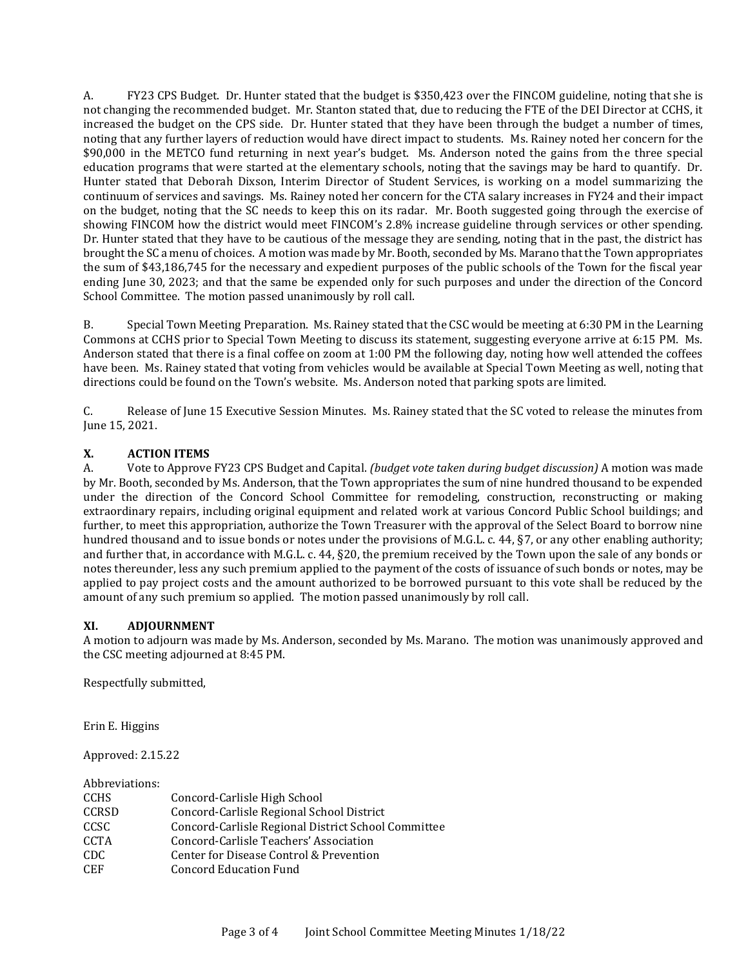A. FY23 CPS Budget. Dr. Hunter stated that the budget is \$350,423 over the FINCOM guideline, noting that she is not changing the recommended budget. Mr. Stanton stated that, due to reducing the FTE of the DEI Director at CCHS, it increased the budget on the CPS side. Dr. Hunter stated that they have been through the budget a number of times, noting that any further layers of reduction would have direct impact to students. Ms. Rainey noted her concern for the \$90,000 in the METCO fund returning in next year's budget. Ms. Anderson noted the gains from the three special education programs that were started at the elementary schools, noting that the savings may be hard to quantify. Dr. Hunter stated that Deborah Dixson, Interim Director of Student Services, is working on a model summarizing the continuum of services and savings. Ms. Rainey noted her concern for the CTA salary increases in FY24 and their impact on the budget, noting that the SC needs to keep this on its radar. Mr. Booth suggested going through the exercise of showing FINCOM how the district would meet FINCOM's 2.8% increase guideline through services or other spending. Dr. Hunter stated that they have to be cautious of the message they are sending, noting that in the past, the district has brought the SC a menu of choices. A motion was made by Mr. Booth, seconded by Ms. Marano that the Town appropriates the sum of \$43,186,745 for the necessary and expedient purposes of the public schools of the Town for the fiscal year ending June 30, 2023; and that the same be expended only for such purposes and under the direction of the Concord School Committee. The motion passed unanimously by roll call.

B. Special Town Meeting Preparation. Ms. Rainey stated that the CSC would be meeting at 6:30 PM in the Learning Commons at CCHS prior to Special Town Meeting to discuss its statement, suggesting everyone arrive at 6:15 PM. Ms. Anderson stated that there is a final coffee on zoom at 1:00 PM the following day, noting how well attended the coffees have been. Ms. Rainey stated that voting from vehicles would be available at Special Town Meeting as well, noting that directions could be found on the Town's website. Ms. Anderson noted that parking spots are limited.

C. Release of June 15 Executive Session Minutes. Ms. Rainey stated that the SC voted to release the minutes from June 15, 2021.

### **X. ACTION ITEMS**

A. Vote to Approve FY23 CPS Budget and Capital. *(budget vote taken during budget discussion)* A motion was made by Mr. Booth, seconded by Ms. Anderson, that the Town appropriates the sum of nine hundred thousand to be expended under the direction of the Concord School Committee for remodeling, construction, reconstructing or making extraordinary repairs, including original equipment and related work at various Concord Public School buildings; and further, to meet this appropriation, authorize the Town Treasurer with the approval of the Select Board to borrow nine hundred thousand and to issue bonds or notes under the provisions of M.G.L. c. 44, §7, or any other enabling authority; and further that, in accordance with M.G.L. c. 44, §20, the premium received by the Town upon the sale of any bonds or notes thereunder, less any such premium applied to the payment of the costs of issuance of such bonds or notes, may be applied to pay project costs and the amount authorized to be borrowed pursuant to this vote shall be reduced by the amount of any such premium so applied. The motion passed unanimously by roll call.

# **XI. ADJOURNMENT**

A motion to adjourn was made by Ms. Anderson, seconded by Ms. Marano. The motion was unanimously approved and the CSC meeting adjourned at 8:45 PM.

Respectfully submitted,

Erin E. Higgins

Approved: 2.15.22

Abbreviations:

| Concord-Carlisle High School                        |
|-----------------------------------------------------|
| Concord-Carlisle Regional School District           |
| Concord-Carlisle Regional District School Committee |
| Concord-Carlisle Teachers' Association              |
| Center for Disease Control & Prevention             |
| Concord Education Fund                              |
|                                                     |